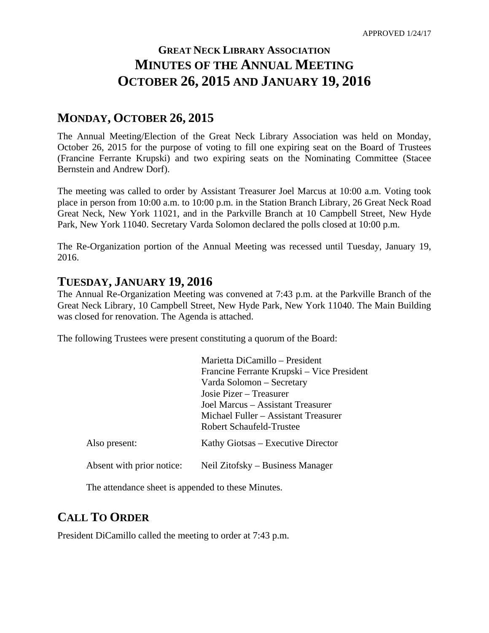# **GREAT NECK LIBRARY ASSOCIATION MINUTES OF THE ANNUAL MEETING OCTOBER 26, 2015 AND JANUARY 19, 2016**

# **MONDAY, OCTOBER 26, 2015**

The Annual Meeting/Election of the Great Neck Library Association was held on Monday, October 26, 2015 for the purpose of voting to fill one expiring seat on the Board of Trustees (Francine Ferrante Krupski) and two expiring seats on the Nominating Committee (Stacee Bernstein and Andrew Dorf).

The meeting was called to order by Assistant Treasurer Joel Marcus at 10:00 a.m. Voting took place in person from 10:00 a.m. to 10:00 p.m. in the Station Branch Library, 26 Great Neck Road Great Neck, New York 11021, and in the Parkville Branch at 10 Campbell Street, New Hyde Park, New York 11040. Secretary Varda Solomon declared the polls closed at 10:00 p.m.

The Re-Organization portion of the Annual Meeting was recessed until Tuesday, January 19, 2016.

## **TUESDAY, JANUARY 19, 2016**

The Annual Re-Organization Meeting was convened at 7:43 p.m. at the Parkville Branch of the Great Neck Library, 10 Campbell Street, New Hyde Park, New York 11040. The Main Building was closed for renovation. The Agenda is attached.

The following Trustees were present constituting a quorum of the Board:

|                           | Marietta DiCamillo – President             |
|---------------------------|--------------------------------------------|
|                           | Francine Ferrante Krupski – Vice President |
|                           | Varda Solomon – Secretary                  |
|                           | Josie Pizer – Treasurer                    |
|                           | Joel Marcus – Assistant Treasurer          |
|                           | Michael Fuller – Assistant Treasurer       |
|                           | Robert Schaufeld-Trustee                   |
| Also present:             | Kathy Giotsas – Executive Director         |
| Absent with prior notice: | Neil Zitofsky – Business Manager           |

The attendance sheet is appended to these Minutes.

# **CALL TO ORDER**

President DiCamillo called the meeting to order at 7:43 p.m.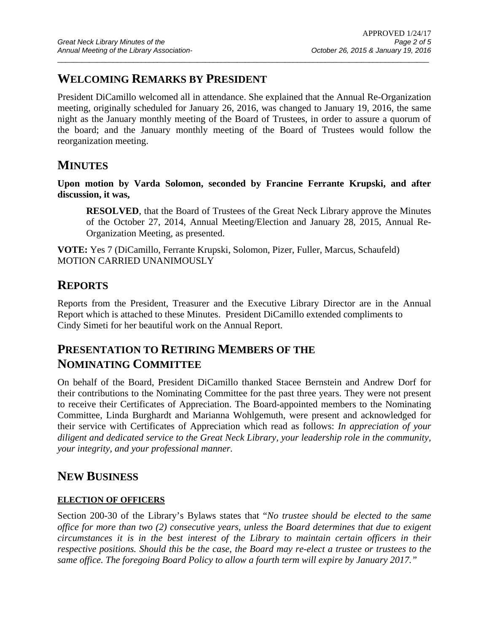# **WELCOMING REMARKS BY PRESIDENT**

President DiCamillo welcomed all in attendance. She explained that the Annual Re-Organization meeting, originally scheduled for January 26, 2016, was changed to January 19, 2016, the same night as the January monthly meeting of the Board of Trustees, in order to assure a quorum of the board; and the January monthly meeting of the Board of Trustees would follow the reorganization meeting.

 $\overline{a}$  , and the state of the state of the state of the state of the state of the state of the state of the state of the state of the state of the state of the state of the state of the state of the state of the state o

## **MINUTES**

**Upon motion by Varda Solomon, seconded by Francine Ferrante Krupski, and after discussion, it was,** 

**RESOLVED**, that the Board of Trustees of the Great Neck Library approve the Minutes of the October 27, 2014, Annual Meeting/Election and January 28, 2015, Annual Re-Organization Meeting, as presented.

**VOTE:** Yes 7 (DiCamillo, Ferrante Krupski, Solomon, Pizer, Fuller, Marcus, Schaufeld) MOTION CARRIED UNANIMOUSLY

# **REPORTS**

Reports from the President, Treasurer and the Executive Library Director are in the Annual Report which is attached to these Minutes. President DiCamillo extended compliments to Cindy Simeti for her beautiful work on the Annual Report.

# **PRESENTATION TO RETIRING MEMBERS OF THE NOMINATING COMMITTEE**

On behalf of the Board, President DiCamillo thanked Stacee Bernstein and Andrew Dorf for their contributions to the Nominating Committee for the past three years. They were not present to receive their Certificates of Appreciation. The Board-appointed members to the Nominating Committee, Linda Burghardt and Marianna Wohlgemuth, were present and acknowledged for their service with Certificates of Appreciation which read as follows: *In appreciation of your diligent and dedicated service to the Great Neck Library, your leadership role in the community, your integrity, and your professional manner.* 

## **NEW BUSINESS**

### **ELECTION OF OFFICERS**

Section 200-30 of the Library's Bylaws states that "*No trustee should be elected to the same office for more than two (2) consecutive years, unless the Board determines that due to exigent circumstances it is in the best interest of the Library to maintain certain officers in their respective positions. Should this be the case, the Board may re-elect a trustee or trustees to the same office. The foregoing Board Policy to allow a fourth term will expire by January 2017."*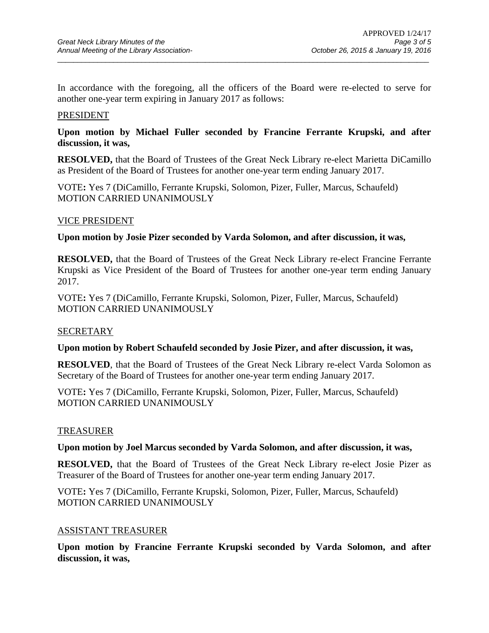In accordance with the foregoing, all the officers of the Board were re-elected to serve for another one-year term expiring in January 2017 as follows:

 $\overline{a}$  , and the state of the state of the state of the state of the state of the state of the state of the state of the state of the state of the state of the state of the state of the state of the state of the state o

#### PRESIDENT

### **Upon motion by Michael Fuller seconded by Francine Ferrante Krupski, and after discussion, it was,**

**RESOLVED,** that the Board of Trustees of the Great Neck Library re-elect Marietta DiCamillo as President of the Board of Trustees for another one-year term ending January 2017.

VOTE**:** Yes 7 (DiCamillo, Ferrante Krupski, Solomon, Pizer, Fuller, Marcus, Schaufeld) MOTION CARRIED UNANIMOUSLY

#### VICE PRESIDENT

**Upon motion by Josie Pizer seconded by Varda Solomon, and after discussion, it was,** 

**RESOLVED,** that the Board of Trustees of the Great Neck Library re-elect Francine Ferrante Krupski as Vice President of the Board of Trustees for another one-year term ending January 2017.

VOTE**:** Yes 7 (DiCamillo, Ferrante Krupski, Solomon, Pizer, Fuller, Marcus, Schaufeld) MOTION CARRIED UNANIMOUSLY

#### **SECRETARY**

#### **Upon motion by Robert Schaufeld seconded by Josie Pizer, and after discussion, it was,**

**RESOLVED**, that the Board of Trustees of the Great Neck Library re-elect Varda Solomon as Secretary of the Board of Trustees for another one-year term ending January 2017.

VOTE**:** Yes 7 (DiCamillo, Ferrante Krupski, Solomon, Pizer, Fuller, Marcus, Schaufeld) MOTION CARRIED UNANIMOUSLY

#### TREASURER

#### **Upon motion by Joel Marcus seconded by Varda Solomon, and after discussion, it was,**

**RESOLVED,** that the Board of Trustees of the Great Neck Library re-elect Josie Pizer as Treasurer of the Board of Trustees for another one-year term ending January 2017.

VOTE**:** Yes 7 (DiCamillo, Ferrante Krupski, Solomon, Pizer, Fuller, Marcus, Schaufeld) MOTION CARRIED UNANIMOUSLY

#### ASSISTANT TREASURER

**Upon motion by Francine Ferrante Krupski seconded by Varda Solomon, and after discussion, it was,**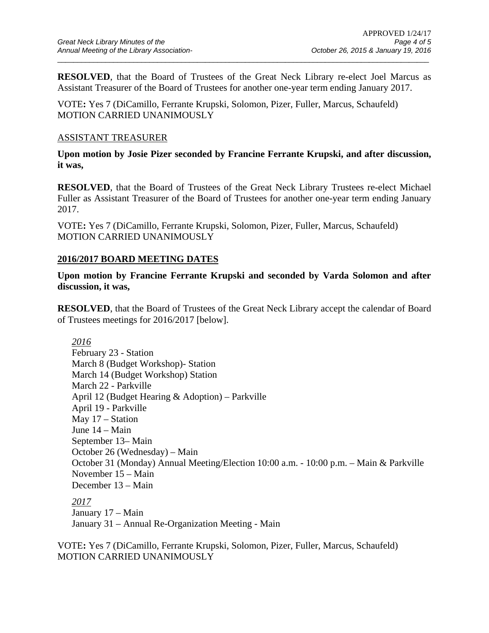**RESOLVED**, that the Board of Trustees of the Great Neck Library re-elect Joel Marcus as Assistant Treasurer of the Board of Trustees for another one-year term ending January 2017.

 $\overline{a}$  , and the state of the state of the state of the state of the state of the state of the state of the state of the state of the state of the state of the state of the state of the state of the state of the state o

VOTE**:** Yes 7 (DiCamillo, Ferrante Krupski, Solomon, Pizer, Fuller, Marcus, Schaufeld) MOTION CARRIED UNANIMOUSLY

#### ASSISTANT TREASURER

**Upon motion by Josie Pizer seconded by Francine Ferrante Krupski, and after discussion, it was,** 

**RESOLVED**, that the Board of Trustees of the Great Neck Library Trustees re-elect Michael Fuller as Assistant Treasurer of the Board of Trustees for another one-year term ending January 2017.

VOTE**:** Yes 7 (DiCamillo, Ferrante Krupski, Solomon, Pizer, Fuller, Marcus, Schaufeld) MOTION CARRIED UNANIMOUSLY

### **2016/2017 BOARD MEETING DATES**

**Upon motion by Francine Ferrante Krupski and seconded by Varda Solomon and after discussion, it was,** 

**RESOLVED**, that the Board of Trustees of the Great Neck Library accept the calendar of Board of Trustees meetings for 2016/2017 [below].

*2016*  February 23 - Station March 8 (Budget Workshop)- Station March 14 (Budget Workshop) Station March 22 - Parkville April 12 (Budget Hearing & Adoption) – Parkville April 19 - Parkville May 17 – Station June 14 – Main September 13– Main October 26 (Wednesday) – Main October 31 (Monday) Annual Meeting/Election 10:00 a.m. - 10:00 p.m. – Main & Parkville November 15 – Main December 13 – Main *2017* 

January 17 – Main January 31 – Annual Re-Organization Meeting - Main

VOTE**:** Yes 7 (DiCamillo, Ferrante Krupski, Solomon, Pizer, Fuller, Marcus, Schaufeld) MOTION CARRIED UNANIMOUSLY